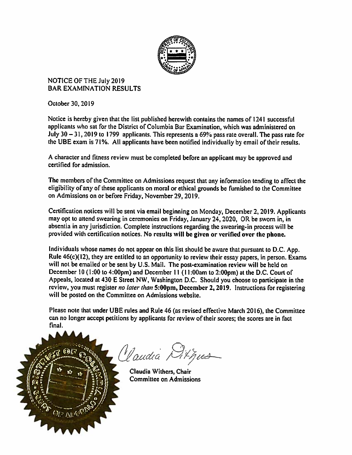

NOTICE OF THE July 2019 **BAR EXAMINATION RESULTS** 

October 30, 2019

Notice is hereby given that the list published herewith contains the names of 1241 successful applicants who sat for the District of Columbia Bar Examination, which was administered on July30— 31, 2019 to 1799 applicants. This represents <sup>a</sup> 69% pass rate overall. The pass rate for the UBE exam is 71%. All applicants have been notified individually by email of their results.

<sup>A</sup> character and fitness review must be completed before an applicant may be approve<sup>d</sup> and certified for admission.

The members of the Committee on Admissions reques<sup>t</sup> that any information tending to affect the eligibility of any of these applicants on moral or ethical grounds be furnished to the Committee on Admissions on or before Friday, November 29, 2019.

Certification notices will be sent via email beginning on Monday, December 2, 2019. Applicants may op<sup>t</sup> to attend swearing in ceremonies on Friday, January 24, 2020, OR be sworn in, in absentia in any jurisdiction. Complete instructions regarding the swearing-in process will be provided with certification notices. No results will be <sup>g</sup>iven or verified over the <sup>p</sup>hone.

Individuals whose names do not appear on this list should be aware that pursuan<sup>t</sup> to D.C. App. Rule  $46(c)(12)$ , they are entitled to an opportunity to review their essay papers, in person. Exams will not be emailed or be sent by U.S. Mail. The post-examination review will be held on December 10 (1:00 to 4:00pm) and December 11 (11:00am to 2:00pm) at the D.C. Court of Appeals, located at <sup>430</sup> <sup>E</sup> Street NW, Washington D.C. Should you choose to participate in the review, you must register no later than 5:00pm, December 2, 2019. Instructions for registering will be posted on the Committee on Admissions website.

Please note that under UBE rules and Rule 46 (as revised effective March 2016), the Committee can no longer accep<sup>t</sup> petitions by applicants for review of their scores; the scores are in fact final



Claudia Athus

Claudia Withers, Chair Committee on Admissions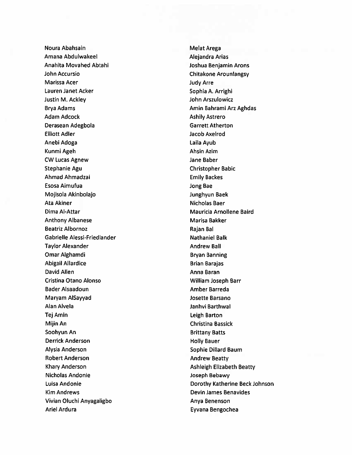Noura Abahsain Melat Arega Amana Abdulwakeel Amana Arias Arias Amana Arias Arias Arias Arias Arias Arias Arias Arias Arias Arias Arias Arias Arias Arias Arias Arias Arias Arias Arias Arias Arias Arias Arias Arias Arias Arias Arias Arias Arias Arias Anahita Movahed Abtahi Joshua Benjamin Arons John Accursio Chitakone Arounlangsy Marissa Acer **Marissa Acer** Marissa Acer Judy Arre Lauren Janet Acker Sophia A. Arrighi Justin M. Ackley John Arszulowicz Brya Adams **Amin Bahrami Ang Amin Bahrami Ang Aghdas** Adam Adcock **Ashily Astrero** Ashily Astrero Derasean Adegbola **Garrett Atherton** Elliott Adler Jacob Axelrod Anebi Adoga Laila Ayub Kunmi Ageh Ahsin Azim Ahsin Azim Ahsin Azim Ang Ahsin Azim Ang Ahsin Azim Ang Ahsin Azim Ang Ahsin Azim Ang Ahsin Azim Ang Ahsin Azim Ang Ahsin Azim Ang Ahsin Azim Ang Ahsin Azim Ang Ahsin Azim Ang Ahsin Azim Ang Ahsin Azi CW Lucas Agnew Jane Baber Stephanie Agu Christopher Babic Ahmad Ahmadzai Emily Backes Esosa Aimufua Jong Bae Mojisola Akinbolajo Junghyun Baek Ata Akiner Nicholas Baer Dima Al-Attar **Mauricia Arnollene Baird** Mauricia Arnollene Baird Anthony Albanese Marisa Bakker Beatriz Albornoz **Rajan Bal** Gabrielle Alessi-Friedlander Nathaniel Balk Taylor Alexander **Andrew Ball** Omar Alghamdi Bryan Banning Abigail Allardice **Brian Barajas** David Allen Anna Baran Anna Baran Anna Baran Anna Baran Anna Baran Anna Baran Anna Baran Anna Anna Anna Anna A Cristina Otano Alonso William Joseph Barr Bader Alsaadoun **Amber Barreda** Maryam AlSayyad Josette Barsano Alan Alvela Janhvi Barthwal Tej Amin Leigh Barton Mijin An Christina Bassick Soohyun An Brittany Batts Derrick Anderson North Bauer (1999) 1996 and Holly Bauer Alysia Anderson Sophie Dillard Baum Robert Anderson **Andrew Beatty** Andrew Beatty Khary Anderson **Ashleigh Elizabeth Beatty** Ashleigh Elizabeth Beatty Nicholas Andonie Joseph Bebawy Kim Andrews **Device Andrews** Device And Device Device Benavides Vivian Oluchi Anyagaligbo Anya Benenson Ariel Ardura **Eyvana Bengochea** 

Luisa Andonie **Dorothy Katherine Beck Johnson**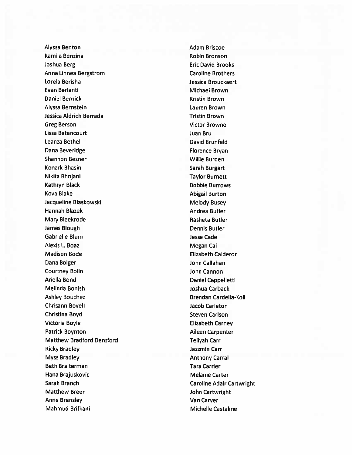Alyssa Benton **Adam Briscoe** Kamila Benzina **Robin Bronson** Joshua Berg Eric David Brooks Anna Linnea Bergstrom Caroline Brothers Lorela Berisha Jessica Brouckaert Evan Berlanti Michael Brown Daniel Bernick **Kristin Brown** Alyssa Bernstein Lauren Brown Jessica Aldrich Berrada Tristin Brown Greg Berson Victor Browne Lissa Betancourt Juan Bru Leanza Bethel **David Brunfeld** Dana Beveridge Florence Bryan Shannon Bezner Millie Burden Willie Burden Konark Bhasin Sarah Burgart Nikita Bhojani **Taylor Burnett** Kathryn Black **Bobbie Burrows** Kova Blake **Abigail Burton** Jacqueline Blaskowski Melody Busey Hannah Blazek **Andrea Butler** Andrea Butler Mary Bleekrode **Rasheta Butler** Rasheta Butler **James Blough Dennis Butler** Gabrielle Blum Jesse Cade Alexis L. Boaz **Megan Cai** Madison Bode **Elizabeth Calderon** Dana Bolger **John Callahan** Courtney Bolin John Cannon Ariella Bond **Daniel Cappelletti** Melinda Bonish Joshua Carback Ashley Bouchez Brendan Cardella-Koll Chrisann Bovell Jacob Carleton Christina Boyd **Steven Carlson** Victoria Boyle **Elizabeth Carney** Patrick Boynton **Aileen Carpenter** Matthew Bradford Densford Teliyah Carr Ricky Bradley Jazzmin Carr Myss Bradley **Anthony Carral** Beth Braiterman Tara Carrier Hana Brajuskovic **Melanie Carter** Melanie Carter Sarah Branch Caroline Adair Cartwright Matthew Breen **Matthew Breen** John Cartwright Anne Brensley Van Carver Mahmud Brifkani Michelle Castaline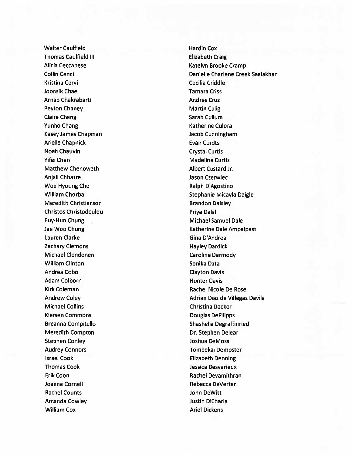Walter Caulfield **Hardin Cox** Thomas Caulfield III **Elizabeth Craig** Alicia Ceccanese Katelyn Brooke Cramp Kristina Cervi **Cecilia Criddle** Joonsik Chae Tamara Criss Arnab Chakrabarti **Andres Cruz Andres Cruz** Peyton Chaney **Martin Culig** Peyton Chaney **Martin Culig** Claire Chang **Sarah Cullum** Sarah Cullum Yunho Chang National Control Control Culora Ratherine Culora Kasey James Chapman Jacob Cunningham Arielle Chapnick **Evan Curdts** Noah Chauvin Crystal Curtis Yifei Chen Madeline Curtis Matthew Chenoweth **Albert Custard Jr.** Anjali Chhatre **Anjali Chhatre Calculate Calculate** Jason Czerwiec Woo Hyoung Cho **Ralph D'Agostino** Meredith Christianson Brandon Daisley Christos Christodoulou **Priva Dalal** Euy-Hun Chung Michael Samuel Dale Lauren Clarke Gina D'Andrea Zachary Clemons **Hayley Dardick** Michael Clendenen Caroline Darmody William Clinton National Sonika Data Andrea Cobo Clayton Davis Adam Colborn **Hunter Davis** Kirk Coleman Rachel Nicole De Rose Michael Collins **Christian Christian Decker** Kiersen Commons and Douglas DeFilipps Meredith Compton Dr. Stephen Delear Stephen Conley **Stephen Conley Joshua DeMoss** Audrey Connors Tombekai Dempster Israel Cook Elizabeth Denning Thomas Cook Jessica Desvarieux Erik Coon **Rachel Devamithran** Joanna Cornell **Rebecca DeVerter** Rachel Counts **Gallery Counts John DeWitt** Amanda Cowley **Justin DiCharia** William Cox **Ariel Dickens Ariel Dickens** 

Collin Cenci Danielle Charlene Creek Saalakhan William Chorba **Stephanie Micayla Daigle** Stephanie Micayla Daigle Jae Woo Chung Katherine Dale Ampaipast Andrew Coley Adrian Diaz de Villegas Davila Breanna Compitello Shashelia Degraffinried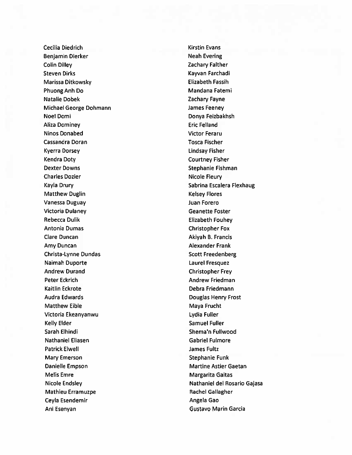Cecilia Diedrich **Kirstin Evans** Benjamin Dierker Neah Evering Colin Dilley **Zachary Falther** Steven Dirks Kayvan Farchadi Marissa Ditkowsky **Elizabeth Fassih** Phuong Anh Do **Mandana Fatemi Mandana Fatemi** Natalie Dobek Zachary Fayne Michael George Dohmann and James Feeney Noel Domi Donya Feizbakhsh Aliza Dominey **Aliza Dominey Example 2018** Ninos Donabed Victor Feraru Cassandra Doran Tosca Fischer Kyerra Dorsey **Lindsay Fisher** Kendra Doty Courtney Fisher Dexter Downs **Stephanie Fishman** Charles Dozier Nicole Fleury Kayla Drury Sabrina Escalera Flexhaug Matthew Duglin National Communication of the Media Communication of the Kelsey Flores Vanessa Duguay Juan Forero Victoria Dulaney Geanette Foster Rebecca Dulik **Elizabeth Fouhey** Antonia Dumas Christopher Fox dare Duncan Akiyah B. Francis Amy Duncan **Amy Duncan** Alexander Frank Christa-Lynne Dundas Scott Freedenberg Naimah Duporte Laurel Fresquez Andrew Durand **Christopher Frey** Peter Eckrich Andrew Friedman (Andrew Friedman) Kaitlin Eckrote Debra Friedmann Audra Edwards **Douglas Henry Frost** Matthew Eible Maya Frucht Victoria Ekeanyanwu Lydia Fuller Kelly Elder Samuel Fuller Sarah Elhindi Shema'n Fullwood Nathaniel Eliasen Gabriel Fulmore Patrick Elwell **According to the Contract Contract Contract Contract Contract Contract Contract Contract Contract Contract Contract Contract Contract Contract Contract Contract Contract Contract Contract Contract Contract** Mary Emerson Stephanie Funk Danielle Empson Martine Astier Gaetan Melis Emre **Margarita Gaitas** Margarita Gaitas Mathieu Erramuzpe **Rachel Gallagher** Rachel Gallagher Ceyla Esendemir **Angela Gao** Ani Esenyan Gustavo Marin Garcia

Nicole Endsley Nathaniel del Rosario Gajasa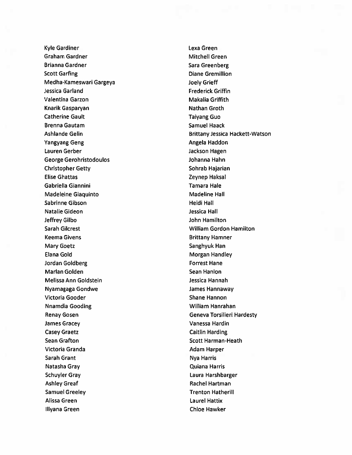Kyle Gardiner Lexa Green Graham Gardner Mitchell Green Brianna Gardner Sara Greenberg Sara Greenberg Scott Garfing **Diane Gremillion** Medha-Kameswari Gargeya Joely Grieff Jessica Garland Frederick Griffin Valentina Garzon **Makalia Griffith** Knarik Gasparyan Nathan Groth Catherine Gault **Taiyang Guo** Brenna Gautam Samuel Haack Yangyang Geng Angela Haddon Lauren Gerber **Jackson Hagen** George Gerohristodoulos Johanna Hahn Christopher Getty Sohrab Hajarian Elise Ghattas **Zeynep Haksal** Gabriella Giannini Tamara Hale Madeleine Giaquinto **Madeline Hall** Sabrinne Gibson **Heidi Hall** Natalie Gideon and a strategies of the strategies of the strategies of the strategies of the strategies of the strategies of the strategies of the strategies of the strategies of the strategies of the strategies of the str Jeffrey Gilbo John Hamilton Sarah Gilcrest William Gordon Hamilton Keema Givens Brittany Hamner Mary Goetz **Sanghyuk Han** Elana Gold **Morgan Handley** Morgan Handley Jordan Goldberg **Forrest Hane** Marlan Golden Sean Hanlon Melissa Ann Goldstein Jessica Hannah Nyamagaga Gondwe James Hannaway Victoria Gooder **Shane Hannon** Shane Hannon Nnamdia Gooding National Communication of the William Hanrahan James Gracey Vanessa Hardin Casey Graetz **Casey Graetz** Caitlin Harding Sean Grafton Scott Harman-Heath Victoria Granda **Adam Harper** Adam Harper Sarah Grant Nya Harris Natasha Gray Quiana Harris Schuyler Gray Laura Harshbarger Ashley Greaf **Rachel Hartman** Samuel Greeley Trenton Hatherill Alissa Green Laurel Hattix Illyana Green China Green China Green China Green China Green China Green China Green China Green China Green China Green China Green China Green China Green China Green China Green China Green China Green China Green Chin

Ashlande Gelin Brittany Jessica Hackett-Watson Renay Gosen Geneva Torsilieri Hardesty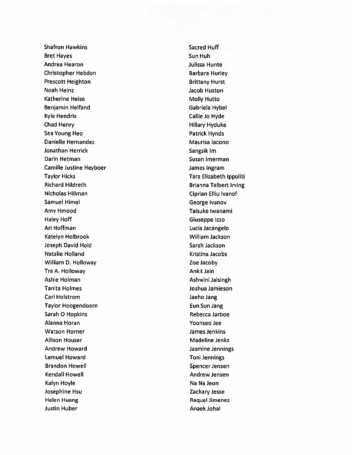Shafron Hawkins Shafron Hawkins Shafron Hawkins Shafron Huff Bret Hayes Sun Huh Andrea Hearon Julissa Hunte Christopher Hebdon Barbara Hurley Prescott Heighton Brittany Hurst Noah Heinz **Jacob Huston** Katherine Heise Molly Hutto Benjamin Helfand Gabriela Hybel Kyle Hendrix **Callie Jo Hyde** Chad Henry **Hillary Hyduke** Sea Young Heo **Patrick Hynds** Danielle Hernandez **Maurisa lacono** Maurisa lacono Jonathan Herrick Sangsik Im Darin Hetman Susan Imerman Susan Imerman Camille Justine Heyboer **Camille Justine Heyboer** James Ingram Taylor Hicks Tara Elizabeth Ippoliti Richard Hildreth Brianna Talbert Irving Nicholas Hillman Ciprian Elliu Ivanof Samuel Himel George Ivanov Amy Hmood **Taisuke Iwanami** Haley Hoff Giuseppe Izzo An Hoffman Lucia Jacangelo Katelyn Holbrook William Jackson Joseph David Hold Sarah Jackson Natalie Holland **Kristina Jacobs** Kristina Jacobs William D. Holloway **Zoe Jacoby** Tre A. Holloway **Ankit Jain** Ashle Holman **Ashle Holman** Ashwini Jaisingh Tanita Holmes Joshua Jamieson Carl Holstrom Jaeho Jang Taylor Hoogendoorn **Eun Sun Jang** Sarah O Hopkins **Rebecca Jarboe** Alanna Moran Yoonseo Jee Watson Horner **Matson Homes** James Jenkins Allison Houser **Madeline Jenks** Madeline Jenks Andrew Howard **Andrew Howard Jasmine Jennings** Lemuel Howard **Toni Jennings** Brandon Howell Spencer Jensen Kendall Howell Andrew Jensen Kalyn Hoyle Na Na Jeon Josephine Hsu Zachary Jesse Helen Huang **Raquel Jimenez** Raquel Jimenez Justin Huber **Anaek Johal** Anaek Johal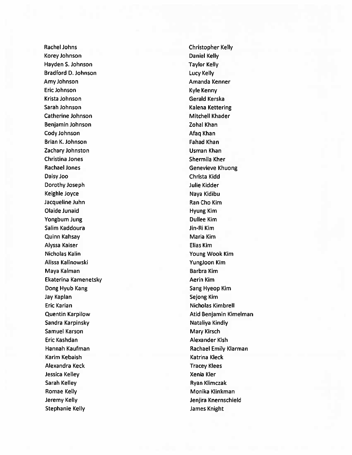Korey Johnson Daniel Kelly Hayden S. Johnson Taylor Kelly Bradford D. Johnson **Lucy Kelly** Amy Johnson Amanda Kenner Eric Johnson Kyle Kenny Krista Johnson Gerald Kerska Sarah Johnson Kalena Kettering Catherine Johnson **Mitchell Khader** Mitchell Khader Benjamin Johnson **Zohal Khan** Cody Johnson **Afaq Khan** Brian K. Johnson **Fahad Khan** Zachary Johnston **National Community Community** Usman Khan Christina Jones **Shermila Kher** Rachael Jones **Genevieve Khuong** Daisy Joo Christa Kidd Dorothy Joseph Julie Kidder Keighle Joyce Naya Kidibu Jacqueline Juhn Ran Cho Kim Olaide Junaid **Hyung Kim** Yongbum Jung **Dullee Kim** Dullee Kim Salim Kaddoura **Jin-Ri Kim** Quinn Kahsay Maria Kim Alyssa Kaiser Elias Kim Nicholas Kahn Young Wook Kim Alissa Kalinowski YungJoon Kim Maya Kalman Barbra Kim Ekaterina Kamenetsky **Acristal Kimber Acristal Aerin Kim** Dong Hyub Kang Sang Hyeop Kim Jay Kaplan Sejong Kim Eric Karian Nicholas Kimbrell Sandra Karpinsky Nataliya Kindiya Kindiya Kindiya Kindiya Kindiya Kindiya Kindiya Kindiya Kindiya Kindiya Kindi Samuel Karson Mary Kirsch Mary Kirsch Eric Kashdan Alexander Kish Karim Kebaish Katrina Kleck Alexandra Keck Tracey Klees Jessica Kelley Xenia Kler Sarah Kelley **Ryan Klimczak** Ryan Klimczak Romae Kelly **Monical Accord Roman** Monika Klinkman Jeremy Kelly Jenjira Knernschield Stephanie Kelly James Knight

Rachel Johns Christopher Kelly Quentin Karpilow **Atid Benjamin Kimelman** Hannah Kaufman Rachael Emily Klarman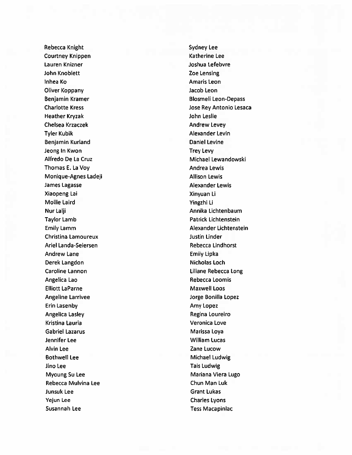Rebecca Knight Sydney Lee Courtney Knippen Katherine Lee Lauren Knizner Management der Anti-John Knoblett **Zoe Lensing** Inhea Ko Amaris Leon Oliver Koppany Jacob Leon Benjamin Kramer **Blosmeli** Leon-Depass Charlotte Kress Jose Rey Antonio Lesaca Heather Kryzak John Leslie Chelsea Krzaczek **Andrew Levey Andrew Levey** Tyler Kubik Alexander Levin Benjamin Kurland Daniel Levine **Jeong In Kwon** Trey Levy Alfredo De La Cruz **Michael Lewandowski** Thomas E. La Voy **Andrea Lewis Andrea Lewis** Monique-Agnes Ladeji **Allison Lewis** Allison Lewis James Lagasse **Alexander Lewis** Xiaopeng Lai Xinyuan Li Mollie Laird Yingzhi Li Nur Lalji **Annika Lichtenbaum** Taylor Lamb **Patrick Lichtenstein** Christina Lamoureux Justin Linder Ariel Landa-Seiersen Rebecca Lindhorst Andrew Lane **Emily Lipka** Derek Langdon Nicholas Loch Caroline Lannon Liliane Rebecca Long Angelica Lao **Rebecca Loomis Rebecca Loomis** Elliott LaParne Maxwell Loos Angeline Larrivee Jorge Bonilla Lopez Erin Lasenby **Amy Lopez Amy Lopez Amy Lopez** Angelica Lasley **Regina Loureiro** Regina Loureiro Kristina Lauria Veronica Love Gabriel Lazarus **Marissa Loya** Marissa Loya Jennifer Lee William Lucas Alvin Lee Zane Lucow Bothwell Lee Michael Ludwig Jino Lee Tais Ludwig Myoung Su Lee Mariana Viera Lugo Rebecca Mulvina Lee Chun Man Luk Junsuk Lee Grant Lukas Yejun Lee Charles Lyons Susannah Lee Tess Macapinlac

Emily Lamm Alexander Lichtenstein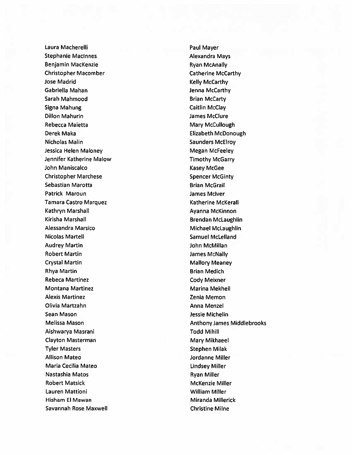Laura Macherelli **National Access of the Caucasian Access** Paul Mayer Stephanie MacInnes **Alexandra Mays** Benjamin MacKenzie **Ryan McAnally** Christopher Macomber Christopher Macomber Catherine McCarthy Jose Madrid **Kelly McCarthy** Gabriella Mahan Jenna McCarthy Sarah Mahmood Brian McCarty Signa Mahung Caitlin McClay Dillon Mahurin James McClure Rebecca Maietta **Mary McCullough** Derek Maka Elizabeth McDonough Nicholas Malin **Nicholas Material Community** Saunders McElroy Jessica Helen Maloney Megan McFeeley Jennifer Katherine Malow Timothy McGarry John Maniscalco **Kasey McGee** Christopher Marchese Spencer McGinty Sebastian Marotta **Brian McGrail** Patrick Maroun **Data and American Contract America** James McIver Tamara Castro Marquez **Katherine McKerall** Kathryn Marshall **Ayanna McKinnon** Kirisha Marshall **Brendan McLaughlin** Alessandra Marsico **Michael McLaughlin** Nicolas Martell **Nicolas Martell** Samuel McLelland Audrey Martin John McMillan Robert Martin **Nationally Robert Martin** Annual McNally **James McNally** Crystal Martin **Mallory Meaney** Mallory Meaney Rhya Martin **Brian Medich** Rebeca Martinez Cody Meixner Montana Martinez Marina Mekheil Alexis Martinez **Alexis Martinez Zenia Memon** Olivia Martzahn Anna Menzel Sean Mason **Jessie Michelin** Aishwarya Masrani Todd Mihill Clayton Masterman Mary Mary Mikhaeel Tyler Masters Stephen Milak Allison Mateo Jordanne Miller Maria Cecilia Mateo Lindsey Miller Nastashia Matos **Ryan Miller** Robert Matsick Matsick McKenzie Miller Lauren Mattioni William Miller Hisham El Mawan Miranda Millerick Savannah Rose Maxwell **Christine Milne** 

Melissa Mason Anthony James Middlebrooks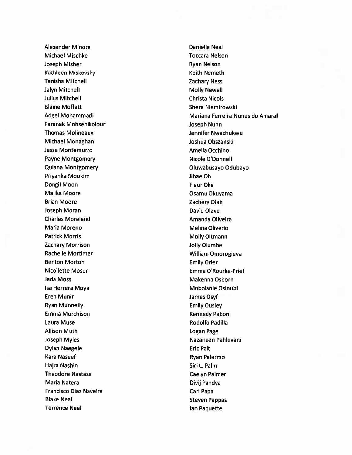Alexander Minore **Danielle Neal** Michael Mischke Toccara Nelson Joseph Misher **Ryan Nelson** Ryan Nelson Kathleen Miskovsky **Keith Nemeth** Tanisha Mitchell Zachary Ness Jalyn Mitchell Molly Newell Julius Mitchell Christa Nicols Blaine Moffatt **Shera Niemirowski** Faranak Mohsenikolour Joseph Nunn Thomas Molineaux Jennifer Nwachukwu Michael Monaghan Joshua Obszanski Jesse Montemurro **Amelia Occhino** Payne Montgomery Nicole O'Donnell Quiana Montgomery **Oluwabusayo Odubayo** Priyanka Mookim and Jihae Oh Dongil Moon **Fleur Oke** Malika Moore **Osamu Okuyama** Brian Moore **Manual Accord Contract Contract Contract Contract Contract Contract Contract Contract Contract Contract Contract Contract Contract Contract Contract Contract Contract Contract Contract Contract Contract Contra** Joseph Moran David Olave Charles Moreland **Amanda Oliveira** Maria Moreno **Melina Oliverio** Melina Oliverio Patrick Morris **Molly Oltmann** Zachary Morrison and The Local Company of Local Annual Company of Local Annual Company of Local Annual Company of Local Annual Company of Local Annual Company of Local Annual Company of Local Annual Company of Local Annual Rachelle Mortimer National Communication of Milliam Omorogieva Benton Morton **Emily Orleans** Nicollette Moser **Emma O'Rourke-Friel** Jada Moss **Makenna Osborn** Makenna Osborn Isa Herrera Moya **Mobolanle Osinubi** Eren Munir James Osyf Ryan Munnelly **Emily Ousley** Emma Murchison **Kennedy Pabon** Kennedy Pabon Laura Muse **National According Contract Contract Contract Contract Contract Contract Contract Contract Contract Contract Contract Contract Contract Contract Contract Contract Contract Contract Contract Contract Contract Co** Allison Muth **Logan Page** Joseph Myles Nazaneen Pahlevani Dylan Naegele Eric Pait Kara Naseef **Ryan Palermo** Hajra Nashin Sin L. Palm Theodore Nastase Caelyn Palmer Maria Natera **Divij Pandya** Francisco Diaz Naveira Carl Papa Carl Papa Blake Neal Steven Pappas Terrence Neal **Ian Paquette** 

Adeel Mohammadi Mariana Ferreira Nunes do Amaral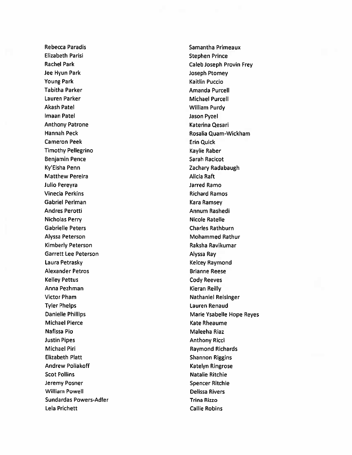Elizabeth Parisi **Stephen Prince** Jee Hyun Park Joseph Ptomey Young Park Kaitlin Puccio Tabitha Parker **Amanda Purcell** Lauren Parker Michael Purcell Akash Patel National Communication of the William Purdy lmaan Patel Jason Pyzel Anthony Patrone **Katerina Qesari** Cameron Peek **Extra Cameron Peek** Erin Quick Timothy Pellegrino **Kaylie Raber** Kaylie Raber Benjamin Pence Sarah Racicot Ky'Eisha Penn Zachary Radabaugh Matthew Pereira **Alicia Raft** Julio Pereyra Jarred Ramo Vinecia Perkins **Richard Ramos** Richard Ramos Gabriel Perlman Kara Ramsey Andres Perotti Annum Rashedi Nicholas Perry **Nicole Ratelle** Gabrielle Peters **Charles Rathburn** Charles Rathburn Alyssa Peterson Mohammed Rathur Kimberly Peterson **Raksha Ravikumar** Raksha Ravikumar Garrett Lee Peterson **Alyssa Ray** Laura Petrasky **Kelcey Raymond** Alexander Petros and a state of the Brianne Reese Kelley Pettus **Cody Reeves** Anna Pezhman Kieran Reilly Victor Pham Nathaniel Reisinger Tyler Phelps Lauren Renaud Michael Pierce **Kate Rheaume** Kate Rheaume Nafissa Pio **Maleeha Riaz** Justin Pipes **Anthony Ricci Anthony Ricci Anthony Ricci** Michael Piri **Michael Pin Raymond Richards** Elizabeth Platt **Shannon Riggins** Andrew Poliakoff **Katelyn Ringrose** Katelyn Ringrose Scot Pollins Natalie Ritchie Jeremy Posner Spencer Ritchie William Powell **Delissa Rivers** Sundardas Powers-Adler Trina Rizzo Lela Prichett **Callie Robins** Callie Robins

Rebecca Paradis **Samantha Primeaux** Samantha Primeaux Rachel Park Caleb Joseph Provin Frey Hannah Peck Rosalia Quam-Wickham Danielle Phillips Marie Ysabelle Hope Reyes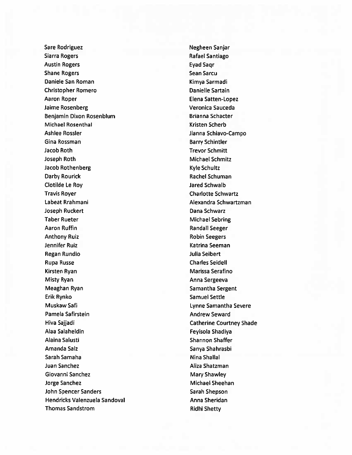Sare Rodriguez Negheen Sanjar Siarra Rogers **Rafael Santiago** Rafael Santiago Austin Rogers **Eyad Saqr** Shane Rogers Shane Sean Sarcu Daniele San Roman Kimya Sarmadi Christopher Romero **Danielle Sartain** Aaron Roper **Elena Satten-Lopez** Jaime Rosenberg Veronica Sauceda Benjamin Dixon Rosenblum Brianna Schacter Michael Rosenthal Nichael Rosenthal Kristen Scherb Ashlee Rossler **Ashlee Rossler** Jianna Schiavo-Campo Gina Rossman Barry Schintler Jacob Roth Trevor Schmitt Joseph Roth Michael Schmitz Jacob Rothenberg **Kyle Schultz** Kyle Schultz Darby Rourick **Rachel Schuman** Clotilde Le Roy Jared Schwalb Travis Royer Charlotte Schwartz Labeat Rrahmani **Alexandra Schwartzman** Joseph Ruckert **Dana Schwarz** Taber Rueter Michael Sebring Aaron Ruffin **Randall Seeger** Anthony Ruiz **Anthony Ruiz Robin Seegers** Jennifer Ruiz National Seeman National Seeman Regan Rundio **Australia Seibert** and Tulia Seibert Rupa Russe Charles Seidell Kirsten Ryan Marissa Serafino Misty Ryan **Anna Sergeeva** Meaghan Ryan Samantha Sergent Erik Rynko Samuel Settle Muskaw Safi **Muskaw San Lynne Samantha Severe** Pamela Safirstein **Andrew Seward** Hiva Sajjadi Catherine Courtney Shade Alaa Salaheldin Feyisola Shadiya Alaina Salusti Shannon Shaffer Amanda Salz Sanya Shahrasbi Sarah Samaha Nina Shallal Juan Sanchez **Aliza Shatzman** Giovanni Sanchez Mary Shawley Jorge Sanchez Michael Sheehan John Spencer Sanders Sarah Shepson Hendricks Valenzuela Sandoval Anna Sheridan Thomas Sandstrom **Ridhi Shetty**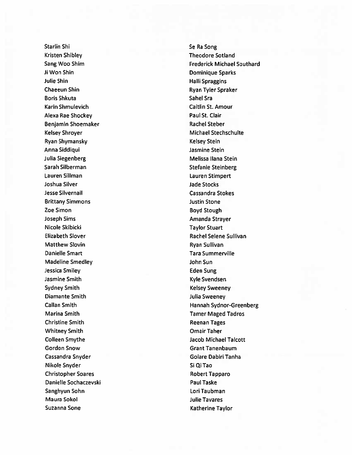Starlin Shi Starlin Shi Se Ra Song Kristen Shibley Theodore Sotland **ii** Won Shin Dominique Sparks Julie Shin **Halli Spraggins Halli Spraggins** Chaeeun Shin **Ryan Tyler Spraker** Boris Shkuta Sahel Sra Karin Shmulevich Caitlin St. Amour Alexa Rae Shockey **Paul St. Clair** Benjamin Shoemaker **Rachel Steber** Rachel Steber Kelsey Shroyer **Michael Stechschulte** Michael Stechschulte Ryan Shymansky Kelsey Stein Anna Siddiqui Jasmine Stein Julia Siegenberg Melissa Ilana Stein Sarah Silberman Stefanie Steinberg Lauren Sillman Lauren Stimpert Joshua Silver Jade Stocks Jesse Silvernail Cassandra Stokes **Brittany Simmons Justin Stone be Simon Boyd Stough Stough Stough Stough Stough Stough Stough Stough Stough Stough Stough Stough Stough Stough Stough Stough Stough Stough Stough Stough Stough Stough Stough Stough Stough Stough Stough Stough Stough Stou** Joseph Sims **Amanda Strayer** Amanda Strayer Nicole Skibicki **Taylor Stuart** Matthew Slovin **Ryan Sullivan** Danielle Smart Tara Summerville Madeline Smedley and The Sun John Sun Jessica Smiley **Eden Sung** Jasmine Smith November 2008 and the United States of the Kyle Svendsen Sydney Smith **Kelsey Sweeney** Diamante Smith and The Smith Julia Sweeney Marina Smith Tamer Maged Tadros Christine Smith **Reenan Tages** Reenan Tages Whitney Smith Omair Taher Gordon Snow Grant Tanenbaum Cassandra Snyder Golare Dabiri Tanha Nikole Snyder Si Qi Tao Christopher Soares **Robert Tapparo** Danielle Sochaczevski **Paul Taske** Sanghyun Sohn Lori Taubman Maura Sokol Julie Tavares Suzanna Sone **Katherine Taylor** Katherine Taylor

Sang Woo Shim **Frederick Michael Southard Frederick Michael Southard** Elizabeth Slover **Rachel Selene Sullivan** Callan Smith **Hannah Sydnor-Greenberg Colleen Smythe College Accord College Accord Smythe Jacob Michael Talcott**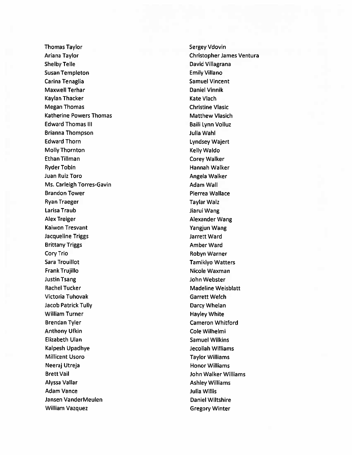Thomas Taylor Thomas Taylor Sergey Vdovin Ariana Taylor Christopher James Ventura Shelby Telle **David Villagrana** Susan Templeton **Emily Villano** Carina Tenaglia Samuel Vincent Maxwell Terhar Daniel Vinnik Kaylan Thacker **Kaylan Thacker** Kate Vlach Megan Thomas Christine Vlasic Katherine Powers Thomas Matthew Vlasich Edward Thomas III and Baili Lynn Volluz Brianna Thompson Julia Wahi Edward Thorn **Lyndsey Wajert** Molly Thornton **Kelly Waldo** Ethan Tillman Corey Walker Ryder Tobin Hannah Walker Juan Ruiz Toro **Angela Walker** Ms. Carleigh Torres-Gavin Adam Wall Brandon Tower **Pierrea Wallace** Ryan Traeger National School and Taylar Walz Larisa Traub Jiarui Wang Alex Treiger **Alex** Treiger Alexander Wang Kaiwon Tresvant Yangjun Wang Jacqueline Triggs Jarrett Ward Brittany Triggs **Amber Ward Amber Ward** Cory Trio **Robyn Warner** Robyn Warner Sara Trouillot **Tamikiyo Watters** Frank Trujillo Nicole Waxman Justin Tsang John Webster Rachel Tucker Madeline Weisblatt Victoria Tuhovak **Garrett Welch** Jacob Patrick Tully **Darcy Whelan** William Turner **Hayley White** Brendan Tyler Cameron Whitford Anthony Ufkin **Cole Wilhelmi** Cole Wilhelmi Elizabeth Ulan Samuel Wilkins Kalpesh Upadhye Jecoliah Williams Millicent Usoro Taylor Williams Neeraj Utreja Honor Williams Brett Vail John Walker Williams Alyssa Vallar **Alyssa Vallar** Ashley Williams Ashley Williams Adam Vance Julia Willis Jansen VanderMeulen ander Daniel Wiltshire William Vazquez **Gregory Winter**